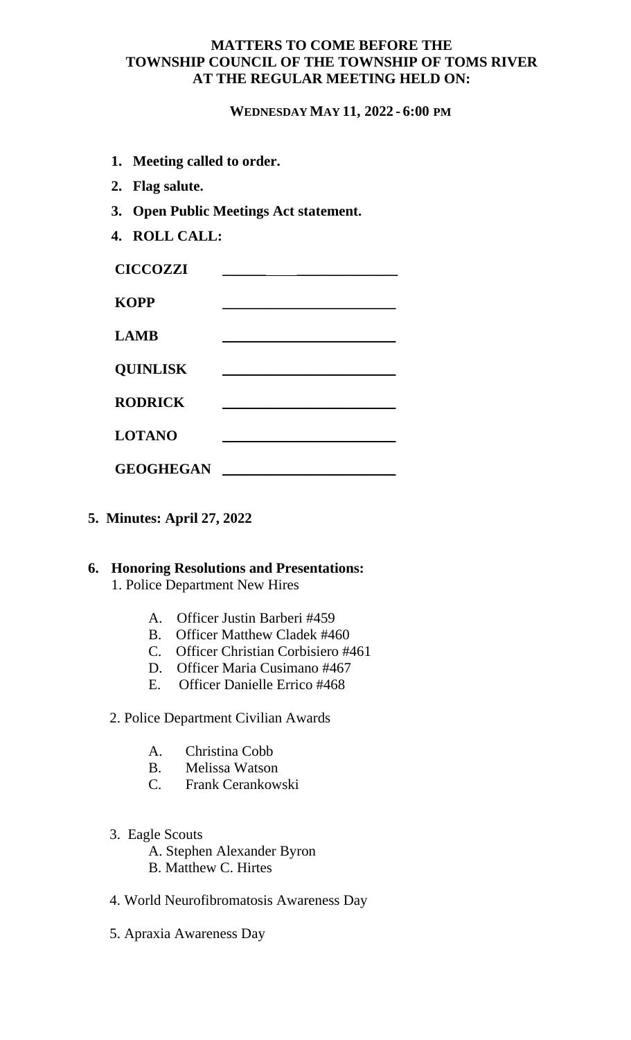### **MATTERS TO COME BEFORE THE TOWNSHIP COUNCIL OF THE TOWNSHIP OF TOMS RIVER AT THE REGULAR MEETING HELD ON:**

#### **WEDNESDAY MAY 11, 2022 - 6:00 PM**

- **1. Meeting called to order.**
- **2. Flag salute.**
- **3. Open Public Meetings Act statement.**
- **4. ROLL CALL:**

| <b>CICCOZZI</b>  |  |
|------------------|--|
| <b>KOPP</b>      |  |
| <b>LAMB</b>      |  |
| <b>QUINLISK</b>  |  |
| <b>RODRICK</b>   |  |
| <b>LOTANO</b>    |  |
| <b>GEOGHEGAN</b> |  |

**5. Minutes: April 27, 2022**

# **6. Honoring Resolutions and Presentations:**

1. Police Department New Hires

- A. Officer Justin Barberi #459
- B. Officer Matthew Cladek #460
- C. Officer Christian Corbisiero #461
- D. Officer Maria Cusimano #467
- E. Officer Danielle Errico #468

#### 2. Police Department Civilian Awards

- A. Christina Cobb
- B. Melissa Watson
- C. Frank Cerankowski
- 3. Eagle Scouts
	- A. Stephen Alexander Byron B. Matthew C. Hirtes
- 4. World Neurofibromatosis Awareness Day
- 5. Apraxia Awareness Day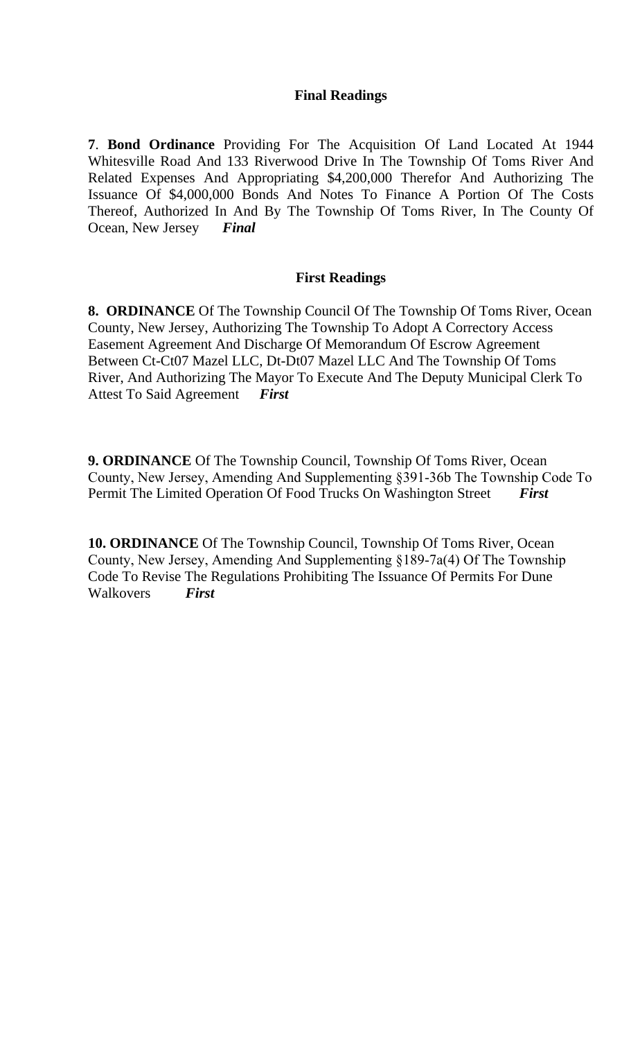### **Final Readings**

**7**. **Bond Ordinance** Providing For The Acquisition Of Land Located At 1944 Whitesville Road And 133 Riverwood Drive In The Township Of Toms River And Related Expenses And Appropriating \$4,200,000 Therefor And Authorizing The Issuance Of \$4,000,000 Bonds And Notes To Finance A Portion Of The Costs Thereof, Authorized In And By The Township Of Toms River, In The County Of Ocean, New Jersey *Final*

### **First Readings**

**8. ORDINANCE** Of The Township Council Of The Township Of Toms River, Ocean County, New Jersey, Authorizing The Township To Adopt A Correctory Access Easement Agreement And Discharge Of Memorandum Of Escrow Agreement Between Ct-Ct07 Mazel LLC, Dt-Dt07 Mazel LLC And The Township Of Toms River, And Authorizing The Mayor To Execute And The Deputy Municipal Clerk To<br>Attest To Said Agreement First **Attest To Said Agreement** 

**9. ORDINANCE** Of The Township Council, Township Of Toms River, Ocean County, New Jersey, Amending And Supplementing §391-36b The Township Code To Permit The Limited Operation Of Food Trucks On Washington Street *First*

**10. ORDINANCE** Of The Township Council, Township Of Toms River, Ocean County, New Jersey, Amending And Supplementing §189-7a(4) Of The Township Code To Revise The Regulations Prohibiting The Issuance Of Permits For Dune Walkovers *First*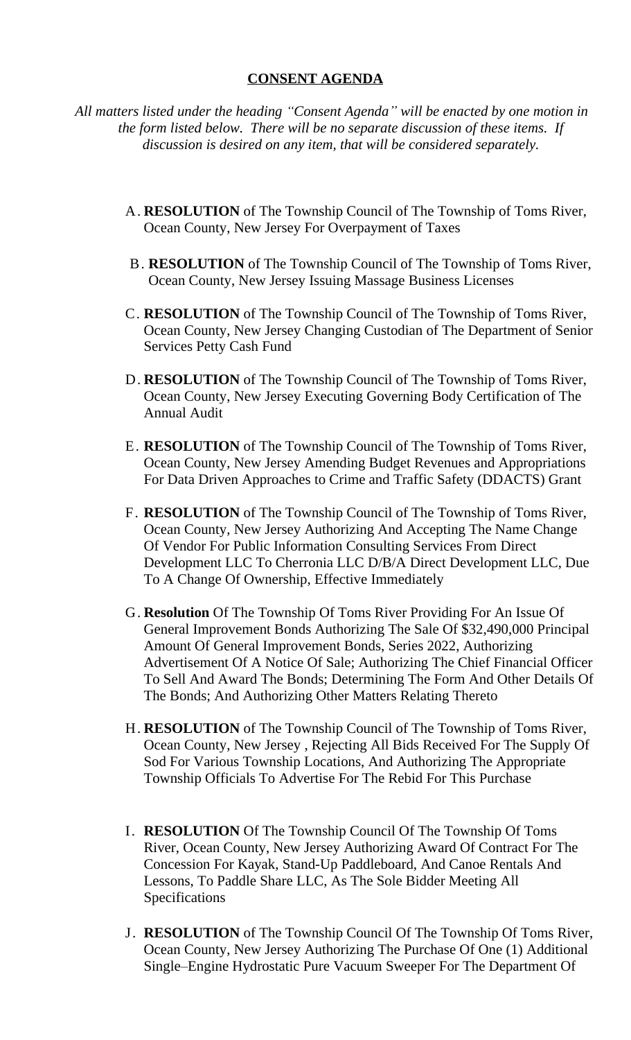#### **CONSENT AGENDA**

*All matters listed under the heading "Consent Agenda" will be enacted by one motion in the form listed below. There will be no separate discussion of these items. If discussion is desired on any item, that will be considered separately.*

- A. **RESOLUTION** of The Township Council of The Township of Toms River, Ocean County, New Jersey For Overpayment of Taxes
- B. **RESOLUTION** of The Township Council of The Township of Toms River, Ocean County, New Jersey Issuing Massage Business Licenses
- C. **RESOLUTION** of The Township Council of The Township of Toms River, Ocean County, New Jersey Changing Custodian of The Department of Senior Services Petty Cash Fund
- D. **RESOLUTION** of The Township Council of The Township of Toms River, Ocean County, New Jersey Executing Governing Body Certification of The Annual Audit
- E. **RESOLUTION** of The Township Council of The Township of Toms River, Ocean County, New Jersey Amending Budget Revenues and Appropriations For Data Driven Approaches to Crime and Traffic Safety (DDACTS) Grant
- F. **RESOLUTION** of The Township Council of The Township of Toms River, Ocean County, New Jersey Authorizing And Accepting The Name Change Of Vendor For Public Information Consulting Services From Direct Development LLC To Cherronia LLC D/B/A Direct Development LLC, Due To A Change Of Ownership, Effective Immediately
- G. **Resolution** Of The Township Of Toms River Providing For An Issue Of General Improvement Bonds Authorizing The Sale Of \$32,490,000 Principal Amount Of General Improvement Bonds, Series 2022, Authorizing Advertisement Of A Notice Of Sale; Authorizing The Chief Financial Officer To Sell And Award The Bonds; Determining The Form And Other Details Of The Bonds; And Authorizing Other Matters Relating Thereto
- H. **RESOLUTION** of The Township Council of The Township of Toms River, Ocean County, New Jersey , Rejecting All Bids Received For The Supply Of Sod For Various Township Locations, And Authorizing The Appropriate Township Officials To Advertise For The Rebid For This Purchase
- I. **RESOLUTION** Of The Township Council Of The Township Of Toms River, Ocean County, New Jersey Authorizing Award Of Contract For The Concession For Kayak, Stand-Up Paddleboard, And Canoe Rentals And Lessons, To Paddle Share LLC, As The Sole Bidder Meeting All Specifications
- J. **RESOLUTION** of The Township Council Of The Township Of Toms River, Ocean County, New Jersey Authorizing The Purchase Of One (1) Additional Single–Engine Hydrostatic Pure Vacuum Sweeper For The Department Of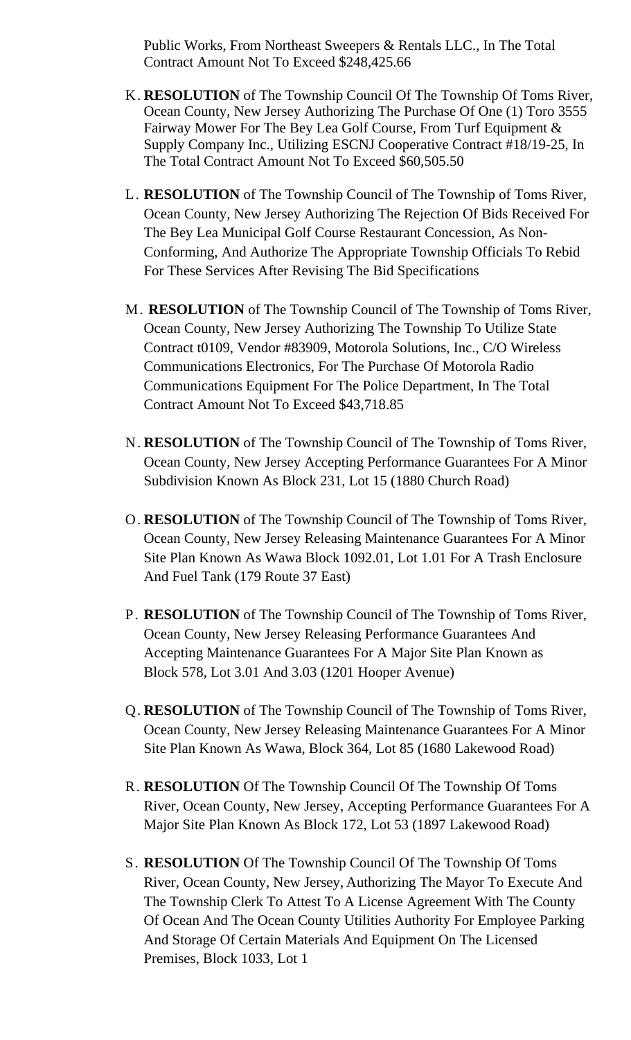Public Works, From Northeast Sweepers & Rentals LLC., In The Total Contract Amount Not To Exceed \$248,425.66

- K. **RESOLUTION** of The Township Council Of The Township Of Toms River, Ocean County, New Jersey Authorizing The Purchase Of One (1) Toro 3555 Fairway Mower For The Bey Lea Golf Course, From Turf Equipment & Supply Company Inc., Utilizing ESCNJ Cooperative Contract #18/19-25, In The Total Contract Amount Not To Exceed \$60,505.50
- L. **RESOLUTION** of The Township Council of The Township of Toms River, Ocean County, New Jersey Authorizing The Rejection Of Bids Received For The Bey Lea Municipal Golf Course Restaurant Concession, As Non-Conforming, And Authorize The Appropriate Township Officials To Rebid For These Services After Revising The Bid Specifications
- M. **RESOLUTION** of The Township Council of The Township of Toms River, Ocean County, New Jersey Authorizing The Township To Utilize State Contract t0109, Vendor #83909, Motorola Solutions, Inc., C/O Wireless Communications Electronics, For The Purchase Of Motorola Radio Communications Equipment For The Police Department, In The Total Contract Amount Not To Exceed \$43,718.85
- N. **RESOLUTION** of The Township Council of The Township of Toms River, Ocean County, New Jersey Accepting Performance Guarantees For A Minor Subdivision Known As Block 231, Lot 15 (1880 Church Road)
- O. **RESOLUTION** of The Township Council of The Township of Toms River, Ocean County, New Jersey Releasing Maintenance Guarantees For A Minor Site Plan Known As Wawa Block 1092.01, Lot 1.01 For A Trash Enclosure And Fuel Tank (179 Route 37 East)
- P. **RESOLUTION** of The Township Council of The Township of Toms River, Ocean County, New Jersey Releasing Performance Guarantees And Accepting Maintenance Guarantees For A Major Site Plan Known as Block 578, Lot 3.01 And 3.03 (1201 Hooper Avenue)
- Q. **RESOLUTION** of The Township Council of The Township of Toms River, Ocean County, New Jersey Releasing Maintenance Guarantees For A Minor Site Plan Known As Wawa, Block 364, Lot 85 (1680 Lakewood Road)
- R. **RESOLUTION** Of The Township Council Of The Township Of Toms River, Ocean County, New Jersey, Accepting Performance Guarantees For A Major Site Plan Known As Block 172, Lot 53 (1897 Lakewood Road)
- S. **RESOLUTION** Of The Township Council Of The Township Of Toms River, Ocean County, New Jersey, Authorizing The Mayor To Execute And The Township Clerk To Attest To A License Agreement With The County Of Ocean And The Ocean County Utilities Authority For Employee Parking And Storage Of Certain Materials And Equipment On The Licensed Premises, Block 1033, Lot 1